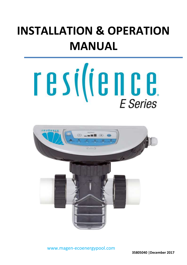# **INSTALLATION & OPERATION MANUAL**





*Resilience E Installation guide. © 2017, all rights reserved P a g e | 1* www.magen-ecoenergypool.com

**35805040 |December 2017**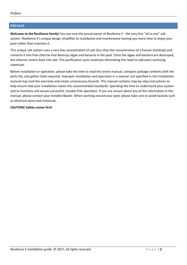#### <span id="page-1-0"></span>**PREFACE**

**Welcome to the Resilience family!** You are now the proud owner of *Resilience E* - the very first "all in one" salt system. Resilience E's unique design simplifies its installation and maintenance leaving you more time to enjoy your pool rather than maintain it.

This unique salt system uses a very low concentration of salt (less than the concentration of a human teardrop) and converts it into free chlorine that destroys algae and bacteria in the pool. Once the algae and bacteria are destroyed, the chlorine reverts back into salt. This purification cycle continues eliminating the need to add extra sanitizing chemicals.

Before installation or operation, please take the time to read this entire manual, compare package contents with the parts list, and gather tools required. Improper installation and operation in a manner not specified in this installation manual may void the warranty and create unnecessary hazards. This manual contains step-by-step instructions to help ensure that your installation meets the recommended standards. Spending the time to understand your system and its functions will assure successful, trouble-free operation. If you are unsure about any of the information in this manual, please contact your installer/dealer. When working around your pool, please take care to avoid hazards such as electrical wires and chemicals.

#### **CAUTION! Safety comes first!**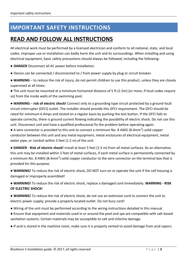# <span id="page-2-0"></span>**IMPORTANT SAFETY INSTRUCTIONS**

# **READ AND FOLLOW ALL INSTRUCTIONS**

All electrical work must be performed by a licensed electrician and conform to all national, state, and local codes. Improper use or installation can badly harm the unit and its surroundings. When installing and using electrical equipment, basic safety precautions should always be followed, including the following:

● **DANGER** Disconnect all AC power before installation.

● Device can be connected / disconnected to / from power supply by plug or circuit breaker.

● **WARNING** – to reduce the risk of injury, do not permit children to use this product, unless they are closely supervised at all times.

● The unit must be mounted at a minimum horizontal distance of 5 ft (1.5m) (or more, if local codes require so) from the inside walls of the swimming pool.

● **WARNING** – **risk of electric shock!** Connect only to a grounding type circuit protected by a ground-fault circuit-interrupter (GFCI) outlet. The installer should provide this GFCI requirement. The GFCI should be rated for minimum 6 Amps and tested on a regular basis by pushing the test button. If the GFCI fails to operate correctly, there is ground current flowing indicating the possibility of electric shock. Do not use this unit. Disconnect unit and have a qualified professional fix the problem before operating again.

 $\bullet$  A wire connector is provided to this unit to connect a minimum No. 8 AWG (8.4mm<sup>2</sup>) solid copper conductor between this unit and any metal equipment, metal enclosures of electrical equipment, metal water pipe, or conduit within 5 feet (1.5 m) of the unit.

● **DANGER** - **Risk of electric shock!** Install at least 5 feet (1.5 m) from all metal surfaces. As an alternative, this unit may be installed within 5 feet of metal surfaces, if each metal surface is permanently connected by a minimum No. 8 AWG (8.4mm<sup>2</sup>) solid copper conductor to the wire connector on the terminal box that is provided for this purpose.

● **WARNING!** To reduce the risk of electric shock, DO NOT turn on or operate the unit if the cell housing is damaged or improperly assembled!

● **WARNING!** To reduce the risk of electric shock, replace a damaged cord immediately. **WARNING - RISK OF ELECTRIC SHOCK!**

● **WARNING!** To reduce the risk of electric shock, do not use an extension cord to connect the unit to electric power supply; provide a properly located outlet. Do not bury cord!

- Wiring of the unit must be performed according to the wiring instructions detailed in this manual.
- Ensure that equipment and materials used in or around the pool and spa are compatible with salt-based sanitation systems. Certain materials may be susceptible to salt and chlorine damage.
- If acid is stored in the machine room, make sure it is properly vented to avoid damage from acid vapors.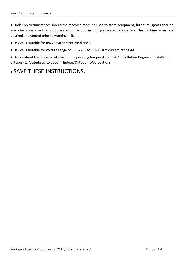● Under no circumstances should the machine room be used to store equipment, furniture, sports gear or any other apparatus that is not related to the pool including spare acid containers. The machine room must be aired and vented prior to working in it.

● Device is suitable for IP66 environment conditions.

● Device is suitable for voltage range of 100-240Vac, 50-60Hzm current rating 4A.

● Device should be installed at maximum operating temperature of 40°C, Pollution Degree 2, Installation Category 2, Altitude up to 2000m, Indoor/Outdoor, Wet locations

# • SAVE THESE INSTRUCTIONS.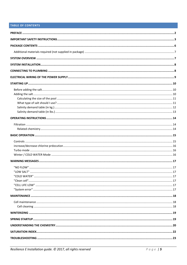#### TABLE OF CONTENTS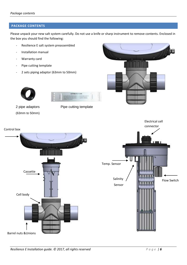#### <span id="page-5-0"></span>**PACKAGE CONTENTS**

Please unpack your new salt system carefully. Do not use a knife or sharp instrument to remove contents. Enclosed in the box you should find the following:

- Resilience E salt system preassembled
- Installation manual
- Warranty card
- Pipe cutting template
- 2 sets piping adaptor (63mm to 50mm)





(63mm to 50mm)







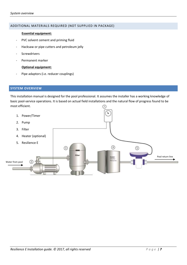#### <span id="page-6-0"></span>ADDITIONAL MATERIALS REQUIRED (NOT SUPPLIED IN PACKAGE)

#### **Essential equipment:**

- PVC solvent cement and priming fluid
- Hacksaw or pipe cutters and petroleum jelly
- **Screwdrivers**
- Permanent marker

#### **Optional equipment:**

Pipe adaptors (i.e. reducer couplings)

#### <span id="page-6-1"></span>**SYSTEM OVERVIEW**

This installation manual is designed for the pool professional. It assumes the installer has a working knowledge of basic pool-service operations. It is based on actual field installations and the natural flow of progress found to be most efficient.  $\textcircled{r}$ 

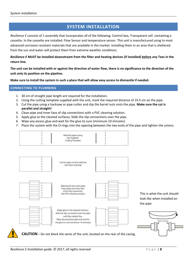#### **SYSTEM INSTALLATION**

<span id="page-7-0"></span>*Resilience E consists* of 1 assembly that incorporates all of the following: Control box, Transparent cell containing a cassette. In the cassette are installed: Flow Sensor and temperature sensor. This unit is manufactured using to most advanced corrosion resistant materials that are available in the market. Installing them in an area that is sheltered from the sun and water will protect them from extreme weather conditions.

#### *Resilience E* **MUST be installed downstream from the filter and heating devices (if installed) before any Tees in the return line.**

**The unit can be installed with or against the direction of water flow, there is no significance to the direction of the unit only its position on the pipeline.** 

**Make sure to install the system in such a place that will allow easy access to dismantle if needed.**

#### <span id="page-7-1"></span>**CONNECTING TO PLUMBING**

- 1. 30 cm of straight pipe length are required for the installation.
- 2. Using the cutting template supplied with the unit, mark the required distance of 19.5 cm on the pipe.
- 3. Cut the pipe using a hacksaw or pipe cutter and slip the barrel nuts onto the pipe. **Make sure the cut is parallel and straight!**
- 4. Clean pipe and inner face of slip connections with a PVC cleaning solution.
- 5. Apply glue to the cleaned surfaces; Slide the slip connections over the pipe.
- 6. Wipe any excess glue and wait for the glue to cure (minimum 10 minutes).
- 7. Place the system with the O-rings into the opening between the two ends of the pipe and tighten the unions.



This is what the unit should look like when installed on the pipe

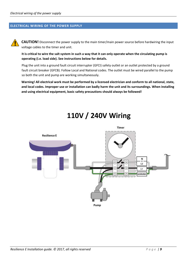#### <span id="page-8-0"></span>**ELECTRICAL WIRING OF THE POWER SUPPLY**

**CAUTION!** Disconnect the power supply to the main timer/main power source before hardwiring the input voltage cables to the timer and unit.

**It is critical to wire the salt system in such a way that it can only operate when the circulating pump is operating (i.e. load side). See instructions below for details.**

Plug the unit into a ground fault circuit interrupter (GFCI) safety outlet or an outlet protected by a ground fault circuit breaker (GFCB). Follow Local and National codes. The outlet must be wired parallel to the pump so both the unit and pump are working simultaneously.

**Warning! All electrical work must be performed by a licensed electrician and conform to all national, state, and local codes. Improper use or installation can badly harm the unit and its surroundings. When installing and using electrical equipment, basic safety precautions should always be followed!**



# **110V / 240V Wiring**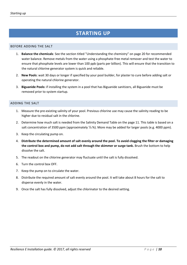## **STARTING UP**

#### <span id="page-9-1"></span><span id="page-9-0"></span>BEFORE ADDING THE SALT

- 1. **Balance the chemicals**: See the section titled "Understanding the chemistry" on page 20 for recommended water balance. Remove metals from the water using a phosphate-free metal remover and test the water to ensure that phosphate levels are lower than 100 ppb (parts per billion). This will ensure that the transition to the natural chlorine generator system is quick and reliable.
- 2. **New Pools**: wait 30 days or longer if specified by your pool builder, for plaster to cure before adding salt or operating the natural chlorine generator.
- 3. **Biguanide Pools:** if installing the system in a pool that has Biguanide sanitizers, all Biguanide must be removed prior to system startup.

#### <span id="page-9-2"></span>ADDING THE SALT

- 1. Measure the pre-existing salinity of your pool. Previous chlorine use may cause the salinity reading to be higher due to residual salt in the chlorine.
- 2. Determine how much salt is needed from the Salinity Demand Table on the page 11. This table is based on a salt concentration of 3500 ppm (approximately ⅓ %). More may be added for larger pools (e.g. 4000 ppm).
- 3. Keep the circulating pump on.
- 4. **Distribute the determined amount of salt evenly around the pool. To avoid clogging the filter or damaging the control box and pump, do not add salt through the skimmer or surge tank.** Brush the bottom to help dissolve the salt.
- 5. The readout on the chlorine generator may fluctuate until the salt is fully dissolved.
- 6. Turn the control box OFF.
- 7. Keep the pump on to circulate the water.
- 8. Distribute the required amount of salt evenly around the pool. It will take about 8 hours for the salt to disperse evenly in the water.
- 9. Once the salt has fully dissolved, adjust the chlorinator to the desired setting.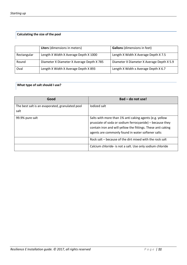#### <span id="page-10-0"></span>**Calculating the size of the pool**

|             | <b>Liters</b> (dimensions in meters)      | <b>Gallons</b> (dimensions in feet)       |
|-------------|-------------------------------------------|-------------------------------------------|
| Rectangular | Length X Width X Average Depth X 1000     | Length X Width X Average Depth X 7.5      |
| Round       | Diameter X Diameter X Average Depth X 785 | Diameter X Diameter X Average Depth X 5.9 |
| Oval        | Length X Width X Average Depth X 893      | Length X Width x Average Depth X 6.7      |

#### <span id="page-10-1"></span>**What type of salt should I use?**

| Good                                                    | Bad – do not use!                                                                                                                                                                                                                        |
|---------------------------------------------------------|------------------------------------------------------------------------------------------------------------------------------------------------------------------------------------------------------------------------------------------|
| The best salt is an evaporated, granulated pool<br>salt | lodized salt                                                                                                                                                                                                                             |
| 99.9% pure salt                                         | Salts with more than 1% anti caking agents (e.g. yellow<br>prussiate of soda or sodium ferrocyanide) - because they<br>contain iron and will yellow the fittings. These anti caking<br>agents are commonly found in water softener salts |
|                                                         | Rock salt – because of the dirt mixed with the rock salt                                                                                                                                                                                 |
|                                                         | Calcium chloride- is not a salt. Use only sodium chloride                                                                                                                                                                                |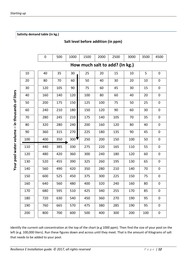<span id="page-11-0"></span>**Salinity demand table (in kg.)**

#### **Salt level before addition (in ppm)**

|                                                 |                                      | 0                              | 500 | 1000 | 1500                                                                                                                                                                                                                                     | 2000 | 2500 | 3000 | 3500 | 4500        |  |  |  |  |
|-------------------------------------------------|--------------------------------------|--------------------------------|-----|------|------------------------------------------------------------------------------------------------------------------------------------------------------------------------------------------------------------------------------------------|------|------|------|------|-------------|--|--|--|--|
|                                                 |                                      | How much salt to add? (In kg.) |     |      |                                                                                                                                                                                                                                          |      |      |      |      |             |  |  |  |  |
|                                                 | 10                                   | 40                             | 35  | 30   | 25                                                                                                                                                                                                                                       | 20   | 15   | 10   | 5    | $\pmb{0}$   |  |  |  |  |
|                                                 | 20                                   | 80                             | 70  | 60   | 50                                                                                                                                                                                                                                       | 40   | 30   | 20   | 10   | $\mathbf 0$ |  |  |  |  |
|                                                 | 30                                   | 120                            | 105 | 90   | 75                                                                                                                                                                                                                                       | 60   | 45   | 30   | 15   | $\mathbf 0$ |  |  |  |  |
|                                                 | 40                                   | 160                            | 140 | 120  | 100                                                                                                                                                                                                                                      | 80   | 60   | 40   | 20   | $\pmb{0}$   |  |  |  |  |
|                                                 | 50                                   | 200                            | 175 | 150  | 125                                                                                                                                                                                                                                      | 100  | 75   | 50   | 25   | $\mathbf 0$ |  |  |  |  |
|                                                 | 60                                   | 240                            | 210 | 180  | 150                                                                                                                                                                                                                                      | 120  | 90   | 60   | 30   | $\pmb{0}$   |  |  |  |  |
|                                                 | 70                                   | 280                            | 245 | 210  | 175                                                                                                                                                                                                                                      | 140  | 105  | 70   | 35   | 0           |  |  |  |  |
|                                                 | 80                                   | 320                            | 280 | 240  | 200                                                                                                                                                                                                                                      | 160  | 120  | 80   | 40   | 0           |  |  |  |  |
|                                                 | 90                                   | 360                            | 315 | 270  | 225                                                                                                                                                                                                                                      | 180  | 135  | 90   | 45   | $\pmb{0}$   |  |  |  |  |
|                                                 | 100                                  | 400                            | 350 | 300  | 250                                                                                                                                                                                                                                      | 200  | 150  | 100  | 50   | $\mathbf 0$ |  |  |  |  |
| Your pool water volume - in thousands of liters | 110                                  | 440                            | 385 | 330  | 275                                                                                                                                                                                                                                      | 220  | 165  | 110  | 55   | $\mathbf 0$ |  |  |  |  |
|                                                 | 120                                  | 480                            | 420 | 360  | 300                                                                                                                                                                                                                                      | 240  | 180  | 120  | 60   | $\mathbf 0$ |  |  |  |  |
|                                                 | 130                                  | 520                            | 455 | 390  | 325                                                                                                                                                                                                                                      | 260  | 195  | 130  | 65   | $\mathbf 0$ |  |  |  |  |
|                                                 | 140                                  | 560                            | 490 | 420  | 350                                                                                                                                                                                                                                      | 280  | 210  | 140  | 70   | $\mathbf 0$ |  |  |  |  |
|                                                 | 150                                  | 600                            | 525 | 450  | 375                                                                                                                                                                                                                                      | 300  | 225  | 150  | 75   | $\pmb{0}$   |  |  |  |  |
|                                                 | 160                                  | 640                            | 560 | 480  | 400                                                                                                                                                                                                                                      | 320  | 240  | 160  | 80   | $\mathbf 0$ |  |  |  |  |
|                                                 | 170                                  | 680                            | 595 | 510  | 425                                                                                                                                                                                                                                      | 340  | 255  | 170  | 85   | $\pmb{0}$   |  |  |  |  |
|                                                 | 180                                  | 720                            | 630 | 540  | 450                                                                                                                                                                                                                                      | 360  | 270  | 190  | 95   | $\mathbf 0$ |  |  |  |  |
|                                                 | 190                                  | 760                            | 665 | 570  | 475                                                                                                                                                                                                                                      | 380  | 285  | 190  | 95   | 0           |  |  |  |  |
|                                                 | 200                                  | 800                            | 700 | 600  | 500                                                                                                                                                                                                                                      | 400  | 300  | 200  | 100  | $\mathbf 0$ |  |  |  |  |
|                                                 |                                      |                                |     |      |                                                                                                                                                                                                                                          |      |      |      |      |             |  |  |  |  |
|                                                 |                                      |                                |     |      | Identify the current salt concentration at the top of the chart (e.g 1000 ppm). Then find the size of your pool on<br>left (e.g. 100,000 liters). Run these figures down and across until they meet. That is the amount of Kilograms of: |      |      |      |      |             |  |  |  |  |
|                                                 | that needs to be added to your pool. |                                |     |      |                                                                                                                                                                                                                                          |      |      |      |      |             |  |  |  |  |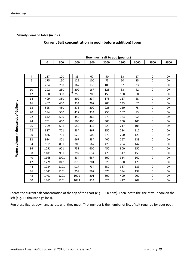Locate the current salt concentration at the top of the chart (e.g. 1000 ppm). Then locate the size of your pool on the left (e.g. 12 thousand gallons).

Run these figures down and across until they meet. That number is the number of lbs. of salt required for your pool.

<span id="page-12-0"></span>

|  | Salinity demand table (in lbs.) |  |  |  |
|--|---------------------------------|--|--|--|
|--|---------------------------------|--|--|--|

#### **Current Salt concentration in pool (before addition) [ppm]**

**How much salt to add (pounds)**

|    | 0    | 500  | 1000 | 1500 | 2000 | 2500 | 3000 | 3500             | 4500 |
|----|------|------|------|------|------|------|------|------------------|------|
|    |      |      |      |      |      |      |      |                  |      |
| 4  | 117  | 100  | 83   | 67   | 50   | 33   | 17   | 0                | OK   |
| 6  | 175  | 150  | 125  | 100  | 75   | 50   | 25   | $\pmb{0}$        | OK   |
| 8  | 234  | 200  | 167  | 133  | 100  | 67   | 33   | $\mathbf 0$      | OK   |
| 10 | 292  | 250  | 209  | 167  | 125  | 83   | 42   | 0                | OK   |
| 12 | 350  | 300  | 250  | 200  | 150  | 100  | 50   | 0                | ΟК   |
| 14 | 409  | 350  | 292  | 234  | 175  | 117  | 58   | $\pmb{0}$        | ΟК   |
| 16 | 467  | 400  | 334  | 267  | 200  | 133  | 67   | $\pmb{0}$        | OK   |
| 18 | 525  | 450  | 375  | 300  | 225  | 150  | 75   | 0                | OK   |
| 20 | 584  | 500  | 417  | 334  | 250  | 167  | 83   | 0                | OK   |
| 22 | 642  | 550  | 459  | 367  | 275  | 183  | 92   | $\mathbf 0$      | OK   |
| 24 | 701  | 600  | 500  | 400  | 300  | 200  | 100  | $\pmb{0}$        | OK   |
| 26 | 759  | 651  | 542  | 434  | 325  | 217  | 108  | $\mathbf 0$      | ΟК   |
| 28 | 817  | 701  | 584  | 467  | 350  | 234  | 117  | 0                | OK   |
| 30 | 876  | 751  | 626  | 500  | 375  | 250  | 125  | $\mathbf 0$      | OK   |
| 32 | 934  | 801  | 667  | 534  | 400  | 267  | 133  | 0                | ΟК   |
| 34 | 992  | 851  | 709  | 567  | 425  | 284  | 142  | 0                | ΟК   |
| 36 | 1051 | 901  | 751  | 600  | 450  | 300  | 150  | $\mathbf 0$      | ΟК   |
| 38 | 1109 | 951  | 792  | 634  | 475  | 317  | 158  | $\pmb{0}$        | OK   |
| 40 | 1168 | 1001 | 834  | 667  | 500  | 334  | 167  | $\mathbf 0$      | OK   |
| 42 | 1226 | 1051 | 876  | 701  | 525  | 350  | 175  | $\mathbf 0$      | ΟК   |
| 44 | 1284 | 1101 | 917  | 734  | 550  | 367  | 183  | 0                | ΟК   |
| 46 | 1343 | 1151 | 959  | 767  | 575  | 384  | 192  | $\pmb{0}$        | ΟК   |
| 48 | 1401 | 1201 | 1001 | 801  | 600  | 400  | 200  | 0                | OK   |
| 50 | 1460 | 1251 | 1043 | 834  | 626  | 417  | 209  | $\boldsymbol{0}$ | OK   |

**Water volume in thousands of Galloons**

Water volume in thousands of Galloons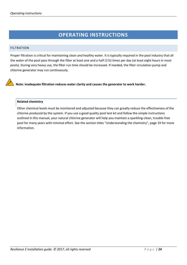### **OPERATING INSTRUCTIONS**

#### <span id="page-13-1"></span><span id="page-13-0"></span>FILTRATION

Proper filtration is critical for maintaining clean and healthy water. It is typically required in the pool industry that all the water of the pool pass through the filter at least one and a half (1½) times per day (at least eight hours in most pools). During very heavy use, the filter run time should be increased. If needed, the filter circulation pump and chlorine generator may run continuously.

**Note: inadequate filtration reduces water clarity and causes the generator to work harder.**

#### <span id="page-13-2"></span>**Related chemistry**

Other chemical levels must be monitored and adjusted because they can greatly reduce the effectiveness of the chlorine produced by the system. If you use a good quality pool test kit and follow the simple instructions outlined in this manual, your natural chlorine generator will help you maintain a sparkling-clean, trouble-free pool for many years with minimal effort. See the section titles "Understanding the chemistry", page 19 for more information.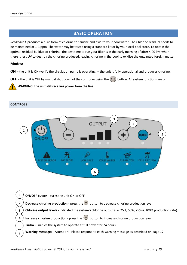#### **BASIC OPERATION**

<span id="page-14-0"></span>*Resilience E* produces a pure form of chlorine to sanitize and oxidize your pool water. The Chlorine residual needs to be maintained at 1-3 ppm. The water may be tested using a standard kit or by your local pool store. To obtain the optimal residual buildup of chlorine, the best time to run your filter is in the early morning of after 4:00 PM when there is less UV to destroy the chlorine produced, leaving chlorine in the pool to oxidize the unwanted foreign matter.

#### **Modes:**

**ON** – the unit is ON (verify the circulation pump is operating) – the unit is fully operational and produces chlorine.

**OFF** – the unit is OFF by manual shut down of the controller using the  $\binom{1}{2}$  button. All system functions are off.



**WARNING**: **the unit still receives power from the line.**

#### <span id="page-14-1"></span>CONTROLS



**1. ON/OFF button** - turns the unit ON or OFF. **2. Decrease chlorine production** - press the **button to decrease chlorine production level. 3. Chlorine output levels** - Indicated the system's chlorine output (i.e. 25%, 50%, 75% & 100% production rate). **Increase chlorine production** - press the **button to increase chlorine production level. 5. Turbo** - Enables the system to operate at full power for 24 hours. **6. Warning messages** - Attention!! Please respond to each warning message as described on page 17. 1 2 3 4 5 6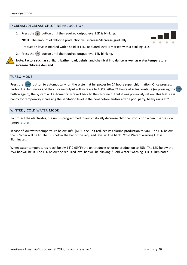#### <span id="page-15-0"></span>INCREASE/DECREASE CHLORINE PRDOCUTION

1. Press the  $\leftarrow$  button until the required output level LED is blinking.

**NOTE:** The amount of chlorine production will increase/decrease gradually.



Production level is marked with a solid lit LED. Required level is marked with a blinking LED.

2. Press the  $\left\lfloor -\right\rfloor$  button until the required output level LED blinking.

**Note: Factors such as sunlight, bather load, debris, and chemical imbalance as well as water temperature increase chlorine demand.**

#### <span id="page-15-1"></span>TURBO MODE

Press the **button to automatically run the system at full power for 24 hours super chlorination. Once pressed,** Turbo LED illuminates and the chlorine output will increase to 100%. After 24 hours of actual runtime (or pressing the button again), the system will automatically revert back to the chlorine output it was previously set on. This feature is handy for temporarily increasing the sanitation level in the pool before and/or after a pool party, heavy rains etc'

#### <span id="page-15-2"></span>WINTER / COLD WATER MODE

To protect the electrodes, the unit is programmed to automatically decrease chlorine production when it senses low temperatures.

In case of low water temperature below 18°C (64°F) the unit reduces its chlorine production to 50%. The LED below the 50% bar will be lit. The LED below the bar of the required level will be blink. "Cold Water" warning LED is illuminated.

When water temperatures reach below 14°C (59°F) the unit reduces chlorine production to 25%. The LED below the 25% bar will be lit. The LED below the required level bar will be blinking. "Cold Water" warning LED is illuminated.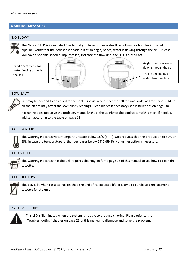#### <span id="page-16-0"></span>**WARNING MESSAGES**

#### <span id="page-16-1"></span>"NO FLOW"



The "faucet" LED is illuminated. Verify that you have proper water flow without air bubbles in the cell pipeline. Verify that the flow sensor paddle is at an angle; hence, water is flowing through the cell. In case you have a variable speed pump installed, increase the flow until the LED is turned off.

Paddle centered = No water flowing through the cell





Angled paddle = Water flowing though the cell

\*Angle depending on water flow direction

#### <span id="page-16-2"></span>"LOW SALT"



Salt may be needed to be added to the pool. First visually inspect the cell for lime-scale, as lime-scale build up on the blades may affect the low salinity readings. Clean blades if necessary (see instructions on page 18).

If cleaning does not solve the problem, manually check the salinity of the pool water with a stick. If needed, add salt according to the table on page 12.

#### <span id="page-16-3"></span>"COLD WATER"



This warning indicates water temperatures are below 18°C (64°F). Unit reduces chlorine production to 50% or 25% in case the temperature further decreases below 14°C (59°F). No further action is necessary.

#### <span id="page-16-4"></span>"CLEAN CELL"



#### <span id="page-16-5"></span>"CELL LIFE LOW"



This LED is lit when cassette has reached the end of its expected life. It is time to purchase a replacement cassette for the unit.

#### <span id="page-16-6"></span>"SYSTEM ERROR"



This LED is illuminated when the system is no able to produce chlorine. Please refer to the "Troubleshooting" chapter on page 23 of this manual to diagnose and solve the problem.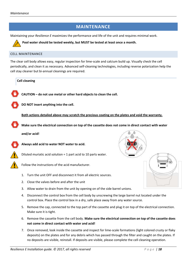#### **MAINTENANCE**

<span id="page-17-0"></span>Maintaining your *Resilience E* maximizes the performance and life of the unit and requires minimal work.



**Pool water should be tested weekly, but MUST be tested at least once a month.** 

#### <span id="page-17-1"></span>CELL MAINTENANCE

The clear cell body allows easy, regular inspection for lime-scale and calcium build up. Visually check the cell periodically, and clean it as necessary. Advanced self-cleaning technologies, including reverse polarization help the cell stay cleaner but bi-annual cleanings are required.

<span id="page-17-2"></span>**Cell cleaning**

**CAUTION – do not use metal or other hard objects to clean the cell.**

**DO NOT insert anything into the cell.**

**Both actions detailed above may scratch the precious coating on the plates and void the warranty.**

**Make sure the electrical connection on top of the cassette does not come in direct contact with water** 

**and/or acid!**



**Always add acid to water NOT water to acid.**



Diluted muriatic acid solution = 1 part acid to 10 parts water.

Follow the instructions of the acid manufacturer.

- 1. Turn the unit OFF and disconnect it from all electric sources.
- 2. Close the valves before and after the unit
- 3. Allow water to drain from the unit by opening on of the side barrel unions.
- 4. Disconnect the control box from the cell body by unscrewing the large barrel nut located under the control box. Place the control box in a dry, safe place away from any water source.
- 5. Remove the cap, connected to the top part of the cassette and plug it on top of the electrical connection. Make sure it is tight.
- 6. Remove the cassette from the cell body. **Make sure the electrical connection on top of the cassette does not come in direct contact with water and acid!**
- 7. Once removed, look inside the cassette and inspect for lime-scale formations (light colored crusty or flaky deposits) on the plates and for any debris which has passed through the filter and caught on the plates. If no deposits are visible, reinstall. If deposits are visible, please complete the cell cleaning operation.

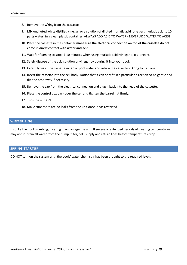- 8. Remove the O'ring from the cassette
- 9. Mix undiluted white distilled vinegar, or a solution of diluted muriatic acid (one part muriatic acid to 10 parts water) in a clean plastic container. ALWAYS ADD ACID TO WATER - NEVER ADD WATER TO ACID!
- 10. Place the cassette in the container **make sure the electrical connection on top of the cassette do not come in direct contact with water and acid!**
- 11. Wait for foaming to stop (5-10 minutes when using muriatic acid; vinegar takes longer).
- 12. Safely dispose of the acid solution or vinegar by pouring it into your pool.
- 13. Carefully wash the cassette in tap or pool water and return the cassette's O'ring to its place.
- 14. Insert the cassette into the cell body. Notice that it can only fit in a particular direction so be gentle and flip the other way if necessary.
- 15. Remove the cap from the electrical connection and plug it back into the head of the cassette.
- 16. Place the control box back over the cell and tighten the barrel nut firmly.
- 17. Turn the unit ON
- 18. Make sure there are no leaks from the unit once it has restarted

#### <span id="page-18-0"></span>**WINTERIZING**

Just like the pool plumbing, freezing may damage the unit. If severe or extended periods of freezing temperatures may occur, drain all water from the pump, filter, cell, supply and return lines before temperatures drop.

#### <span id="page-18-1"></span>**SPRING STARTUP**

DO NOT turn on the system until the pools' water chemistry has been brought to the required levels.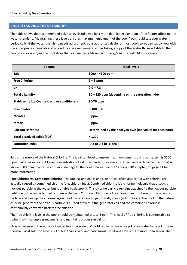#### <span id="page-19-0"></span>**UNDERSTANDING THE CHEMISTRY**

The table shows the recommended balance levels followed by a more detailed explanation of the factors affecting the water chemistry. Maintaining these levels ensures maximum enjoyment of the pool. You should test your water periodically. If the water chemistry needs adjustment, your authorized dealer or most pool stores can supply you with the appropriate chemicals and procedures. We recommend either taking a copy of the Water Balance Table to the pool store, or notifying the pool store that you are using Magen eco-Energy's natural salt chlorine generator.

| <b>Factors</b>                                  | <b>Ideal levels</b>                                       |
|-------------------------------------------------|-----------------------------------------------------------|
| Salt                                            | $3000 - 4500$ ppm                                         |
| <b>Free Chlorine</b>                            | $1 - 3$ ppm                                               |
| pH                                              | $7.0 - 7.8$                                               |
| <b>Total alkalinity</b>                         | 80 – 120 ppm (depending on the saturation index)          |
| Stabilizer (a.k.a Cyanuric acid or conditioner) | 20-70 ppm                                                 |
| Phosphates                                      | $0-100$ ppb                                               |
| <b>Nitrates</b>                                 | 0 ppm                                                     |
| <b>Metals</b>                                   | 0 ppm                                                     |
| <b>Calcium Hardness</b>                         | Determined by the pool you own (individual for each pool) |
| <b>Total dissolved solids (TDS)</b>             | < 1200                                                    |
| <b>Saturation index</b>                         | $-0.3$ to 0.3 (0 is ideal)                                |

**Salt** is the source of the Natural Chlorine. The ideal salt level to ensure maximum benefits using our system is 3500 ppm (parts per million). A lower concentration of salt may hinder the generator effectiveness. A concentration of salt above 5500 ppm may cause corrosion damage to the pool fixtures. See the "Adding salt" chapter, on page 11 for more information.

**Free Chlorine vs. Combined Chlorine:** The unpleasant smells and side effects often associated with chlorine are actually caused by combined chlorine (e.g. chloramines). Combined chlorine is a chlorine molecule that attacks a noxious particle in the water but is unable to destroy it. This chlorine particle remains attached to the noxious particle until one of the two is burned off; hence the term Combined Chlorine (a.k.a chloramines). To burn off the noxious particle and free up the chlorine again, pool owners have to periodically shock (with chlorine) the pool. In the natural chlorine generator the noxious particle is burned off within the generator cell and the combined chlorine is continuously converted back to free chlorine.

The free chlorine level in the pool should be maintained at 1 to 3 ppm. This level of free chlorine is comfortable to swim in with no unpleasant smells, and maintains proper sanitizing.

**pH** is a measure of the acidic or basic solution. A scale of 0 to 14 is used to measure pH. Pure water has a pH of seven (neutral), acid solution have a pH of less than seven, and basic (alkali) solutions have a pH of more than seven. The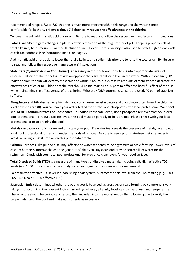recommended range is 7.2 to 7.6; chlorine is much more effective within this range and the water is most comfortable for bathers. **pH levels above 7.8 drastically reduce the effectiveness of the chlorine.** 

To lower the pH, add muriatic acid or dry acid. Be sure to read and follow the respective manufacturer's instructions.

**Total Alkalinity** mitigates changes in pH. It is often referred to as the "big brother of pH". Keeping proper levels of total alkalinity helps reduce unwanted fluctuations in pH levels. Total alkalinity is also used to offset high or low levels of calcium hardness (see "saturation index" on page 22).

Add muriatic acid or dry acid to lower the total alkalinity and sodium bicarbonate to raise the total alkalinity. Be sure to read and follow the respective manufacturers' instructions.

**Stabilizers (Cyanuric Acid or Conditioner)** is necessary in most outdoor pools to maintain appropriate levels of chlorine. Chlorine stabilizer helps provide an appropriate residual chlorine level in the water. Without stabilizer, UV radiation from the sun will destroy most chlorine within 2 hours, but excessive amounts of stabilizer can decrease the effectiveness of chlorine. Chlorine stabilizers should be maintained at 60 ppm to offset the harmful effect of the sun while maintaining the effectiveness of the chlorine. Where pH/ORP automatic sensors are used, 40 ppm of stabilizer suffices.

**Phosphates and Nitrates** set very high demands on chlorine, most nitrates and phosphates often bring the chlorine level down to zero (0). You can have your water tested for nitrates and phosphates by a local professional. **Your pool should NOT contain Nitrates or Phosphates.** To reduce Phosphate levels, use a phosphate remover from your local pool professional. To reduce Nitrate levels, the pool must be partially or fully drained. Please check with your local professional prior to draining the pool.

**Metals** can cause loss of chlorine and can stain your pool. If a water test reveals the presence of metals, refer to your local pool professional for recommended methods of removal. Be sure to use a phosphate-free metal remover to avoid replacing a metal problem with a phosphate problem.

**Calcium Hardness**, like pH and alkalinity, affects the water tendency to be aggressive or scale forming. Lower levels of calcium hardness improve the chorine generators' ability to stay clean and provide softer silkier water for the swimmers. Check with your local pool professional for proper calcium levels for your pool surface.

**Total Dissolved Solids (TDS)** is a measure of many types of dissolved materials, including salt. High effective TDS levels (e.g. 1500 ppm and up) cause cloudy water and significantly increase chlorine demand.

To obtain the effective TDS level in a pool using a salt system, subtract the salt level from the TDS reading (e.g. 5000 TDS – 4000 salt = 1000 effective TDS).

**Saturation Index** determines whether the pool water is balanced, aggressive, or scale forming by comprehensively taking into account all the relevant factors, including pH level, alkalinity level, calcium hardness, and temperature. These factors should be periodically tested, then included into the worksheet on the following page to verify the proper balance of the pool and make adjustments as necessary.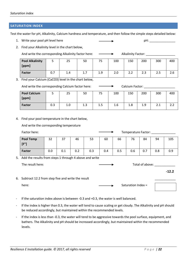#### <span id="page-21-0"></span>**SATURATION INDEX**

Test the water for pH, Alkalinity, Calcium hardness and temperature, and then follow the simple steps detailed below:

- 1. Write your pool pH level here  $\rule{1em}{0.15mm}$  pH:  $\rule{1.15mm}{}$  pH:
- 2. Find your Alkalinity level in the chart below,

And write the corresponding Alkalinity factor here:  $\longrightarrow$  Alkalinity Factor:

| <b>Pool Alkalinity</b><br>[ppm] | ັ   | 25  | 50  | 75  | 100 | 150       | 200 | 300 | 400 |
|---------------------------------|-----|-----|-----|-----|-----|-----------|-----|-----|-----|
| <b>Factor</b>                   | 0.7 | 1.4 | 1.7 | 1.9 | 2.0 | ຳາ<br>ے ۔ | 2.3 | 2.5 | 2.6 |

3. Find your Calcium (CaCO3) level in the chart below,

| And write the corresponding Calcium factor here: |     |     | Calcium Factor: |     |     |     |     |     |     |
|--------------------------------------------------|-----|-----|-----------------|-----|-----|-----|-----|-----|-----|
| <b>Pool Calcium</b><br>[ppm]                     |     | 25  | 50              | 75  | 100 | 150 | 200 | 300 | 400 |
| <b>Factor</b>                                    | 0.3 | 1.0 | 1.3             | 1.5 | 1.6 | 1.8 | 1.9 | 2.1 |     |

4. Find your pool temperature in the chart below,

And write the corresponding temperature

| Factor here:                        | Temperature Factor: |     |     |     |     |     |     |     |     |     |
|-------------------------------------|---------------------|-----|-----|-----|-----|-----|-----|-----|-----|-----|
| <b>Pool Temp</b><br>$[$ $F^{\circ}$ | 32                  | 37  | 46  | 53  | 60  | 66  | 76  | 84  | 94  | 105 |
| <b>Factor</b>                       | 0.0                 | 0.1 | 0.2 | 0.3 | 0.4 | 0.5 | 0.6 | 0.7 | 0.8 | 0.9 |

5. Add the results from steps 1 through 4 above and write

The result here: The result here: The result here: The result here: The result here: The result here: The result here: The result here: The result here: The result here: The result here: The result here: The result here: T

6. Subtract 12.2 from step five and write the result

here: Saturation Index =

- If the saturation index above is between -0.3 and +0.3, the water is well balanced.
- If the index is higher than 0.3, the water will tend to cause scaling or get cloudy. The Alkalinity and pH should be reduced accordingly, but maintained within the recommended levels.
- If the index is less than -0.3, the water will tend to be aggressive towards the pool surface, equipment, and bathers. The Alkalinity and pH should be increased accordingly, but maintained within the recommended levels.

**-12.2**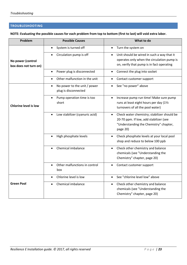#### <span id="page-22-0"></span>**TROUBLESHOOTING**

**NOTE: Evaluating the possible causes for each problem from top to bottom (first to last) will void extra labor.** 

| Problem                                    | <b>Possible Causes</b>                                            | What to do                                                                                                                                               |
|--------------------------------------------|-------------------------------------------------------------------|----------------------------------------------------------------------------------------------------------------------------------------------------------|
|                                            | System is turned off<br>$\bullet$                                 | Turn the system on<br>$\bullet$                                                                                                                          |
| No power (control<br>box does not turn on) | Circulation pump is off<br>$\bullet$                              | Unit should be wired in such a way that it<br>$\bullet$<br>operates only when the circulation pump is<br>on, verify that pump is in fact operating       |
|                                            | Power plug is disconnected<br>$\bullet$                           | Connect the plug into socket<br>$\bullet$                                                                                                                |
|                                            | Other malfunction in the unit<br>$\bullet$                        | Contact customer support<br>$\bullet$                                                                                                                    |
|                                            | No power to the unit / power<br>$\bullet$<br>plug is disconnected | See "no power" above<br>$\bullet$                                                                                                                        |
| <b>Chlorine level is low</b>               | Pump operation time is too<br>$\bullet$<br>short                  | Increase pump run time! Make sure pump<br>$\bullet$<br>runs at least eight hours per day (11/2<br>turnovers of all the pool water)                       |
|                                            | Low stabilizer (cyanuric acid)<br>$\bullet$                       | Check water chemistry; stabilizer should be<br>$\bullet$<br>20-70 ppm. If low, add stabilizer (see<br>"Understanding the Chemistry" chapter,<br>page 20) |
|                                            | High phosphate levels<br>$\bullet$                                | Check phosphate levels at your local pool<br>$\bullet$<br>shop and reduce to below 100 ppb                                                               |
|                                            | Chemical imbalance                                                | Check other chemistry and balance<br>$\bullet$<br>chemicals (see "Understanding the<br>Chemistry" chapter, page 20)                                      |
|                                            | Other malfunctions in control<br>$\bullet$<br>box                 | Contact customer support<br>$\bullet$                                                                                                                    |
|                                            | Chlorine level is low<br>$\bullet$                                | See "chlorine level low" above<br>$\bullet$                                                                                                              |
| <b>Green Pool</b>                          | Chemical imbalance                                                | Check other chemistry and balance<br>$\bullet$<br>chemicals (see "Understanding the<br>Chemistry" chapter, page 20)                                      |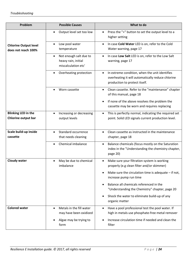| Problem                                                  | <b>Possible Causes</b>                                                            | What to do                                                                                                                           |
|----------------------------------------------------------|-----------------------------------------------------------------------------------|--------------------------------------------------------------------------------------------------------------------------------------|
|                                                          | Output level set too low<br>$\bullet$                                             | Press the "+" button to set the output level to a<br>$\bullet$<br>higher setting                                                     |
| <b>Chlorine Output level</b><br>does not reach 100%      | Low pool water<br>٠<br>temperature                                                | In case Cold Water LED is on, refer to the Cold<br>Water warning, page 17                                                            |
|                                                          | Not enough salt due to<br>$\bullet$<br>heavy rain, initial<br>miscalculation etc' | In case Low Salt LED is on, refer to the Low Salt<br>$\bullet$<br>warning, page 17                                                   |
|                                                          | Overheating protection<br>٠                                                       | In extreme condition, when the unit identifies<br>overheating it will automatically reduce chlorine<br>production to protect itself. |
|                                                          | Worn cassette<br>٠                                                                | Clean cassette. Refer to the "maintenance" chapter<br>$\bullet$<br>of this manual, page 18                                           |
|                                                          |                                                                                   | If none of the above resolves the problem the<br>cassette may be worn and requires replacing                                         |
| <b>Blinking LED in the</b><br><b>Chlorine output bar</b> | Increasing or decreasing<br>output levels                                         | This is perfectly normal, indicating the required set<br>point. Solid LED signals current production level.                          |
| Scale build-up inside<br>cassette                        | Standard occurrence<br>$\bullet$<br>that needs cleaning                           | Clean cassette as instructed in the maintenance<br>$\bullet$<br>chapter, page 18                                                     |
|                                                          | Chemical imbalance                                                                | Balance chemicals (focus mostly on the Saturation<br>index in the "Understanding the chemistry chapter,<br>page 20)                  |
| Cloudy water                                             | May be due to chemical<br>٠<br>imbalance                                          | Make sure your filtration system is working<br>properly (e.g clean filter and/or skimmer)                                            |
|                                                          |                                                                                   | Make sure the circulation time is adequate $-$ if not,<br>increase pump run time                                                     |
|                                                          |                                                                                   | Balance all chemicals referenced in the<br>"Understanding the Chemistry" chapter, page 20                                            |
|                                                          |                                                                                   | Shock the water to eliminate build-up of any<br>organic matter                                                                       |
| <b>Colored water</b>                                     | Metals in the fill water<br>٠                                                     | Have a pool professional test the pool water. If<br>high in metals use phosphate-free metal remover                                  |
|                                                          | may have been oxidized<br>Algae may be trying to<br>form                          | Increase circulation time if needed and clean the<br>filter                                                                          |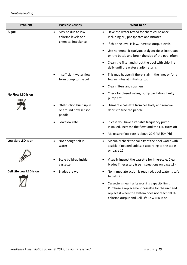| Problem                 | <b>Possible Causes</b>                                                                                | What to do                                                                                                                                                                                                                                                                                                                                        |
|-------------------------|-------------------------------------------------------------------------------------------------------|---------------------------------------------------------------------------------------------------------------------------------------------------------------------------------------------------------------------------------------------------------------------------------------------------------------------------------------------------|
| <b>Algae</b>            | May be due to low<br>٠<br>chlorine levels or a<br>chemical imbalance                                  | Have the water tested for chemical balance<br>including pH, phosphates and nitrates<br>If chlorine level is low, increase output levels<br>Use nonmetallic (polyquat) algaecide as instructed<br>on the bottle and brush the side of the pool often<br>Clean the filter and shock the pool with chlorine<br>daily until the water clarity returns |
| No Flow LED is on       | Insufficient water flow<br>$\bullet$<br>from pump to the cell                                         | This may happen if there is air in the lines or for a<br>$\bullet$<br>few minutes at initial startup<br>Clean filters and strainers<br>Check for closed valves, pump cavitation, faulty<br>pump etc'                                                                                                                                              |
|                         | Obstruction build up in<br>$\bullet$<br>or around flow sensor<br>paddle<br>Low flow rate<br>$\bullet$ | Dismantle cassette from cell body and remove<br>$\bullet$<br>debris to free the paddle<br>In case you have a variable frequency pump<br>$\bullet$<br>installed, increase the flow until the LED turns off<br>Make sure flow rate is above 22 GPM [5m <sup>3</sup> /h]                                                                             |
| Low Salt LED is on      | Not enough salt in<br>٠<br>water<br>Scale build-up inside<br>cassette                                 | Manually check the salinity of the pool water with<br>$\bullet$<br>a stick. If needed, add salt according to the table<br>on page 12<br>Visually inspect the cassette for lime-scale. Clean<br>blades if necessary (see instructions on page 18)                                                                                                  |
| Cell Life Low LED is on | Blades are worn<br>٠                                                                                  | No immediate action is required, pool water is safe<br>to bath in<br>Cassette is nearing its working capacity limit.<br>Purchase a replacement cassette for the unit and<br>replace it when the system does not reach 100%<br>chlorine output and Cell Life Low LED is on                                                                         |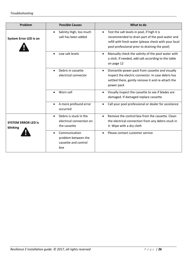| Problem                                | <b>Possible Causes</b>                                                           | What to do                                                                                                                                                                                                            |
|----------------------------------------|----------------------------------------------------------------------------------|-----------------------------------------------------------------------------------------------------------------------------------------------------------------------------------------------------------------------|
| <b>System Error LED is on</b>          | Salinity High, too much<br>$\bullet$<br>salt has been added                      | Test the salt levels in pool, if high it is<br>$\bullet$<br>recommended to drain part of the pool water and<br>refill with fresh water (please check with your local<br>pool professional prior to draining the pool) |
|                                        | Low salt levels<br>$\bullet$                                                     | Manually check the salinity of the pool water with<br>$\bullet$<br>a stick. If needed, add salt according to the table<br>on page 12                                                                                  |
|                                        | Debris in cassette<br>$\bullet$<br>electrical connector                          | Dismantle power pack from cassette and visually<br>$\bullet$<br>inspect the electric connector. In case debris has<br>settled there, gently remove it and re-attach the<br>power pack                                 |
|                                        | Worn cell<br>$\bullet$                                                           | Visually inspect the cassette to see if blades are<br>$\bullet$<br>damaged. If damaged replace cassette                                                                                                               |
|                                        | A more profound error<br>$\bullet$<br>occurred                                   | Call your pool professional or dealer for assistance                                                                                                                                                                  |
| <b>SYSTEM ERROR LED is</b><br>blinking | Debris is stuck in the<br>$\bullet$<br>electrical connection on<br>the cassette  | Remove the control box from the cassette. Clean<br>$\bullet$<br>the electrical connection from any debris stuck in<br>it. Wipe with a dry cloth                                                                       |
|                                        | Communication<br>$\bullet$<br>problem between the<br>cassette and control<br>box | Please contact customer service                                                                                                                                                                                       |